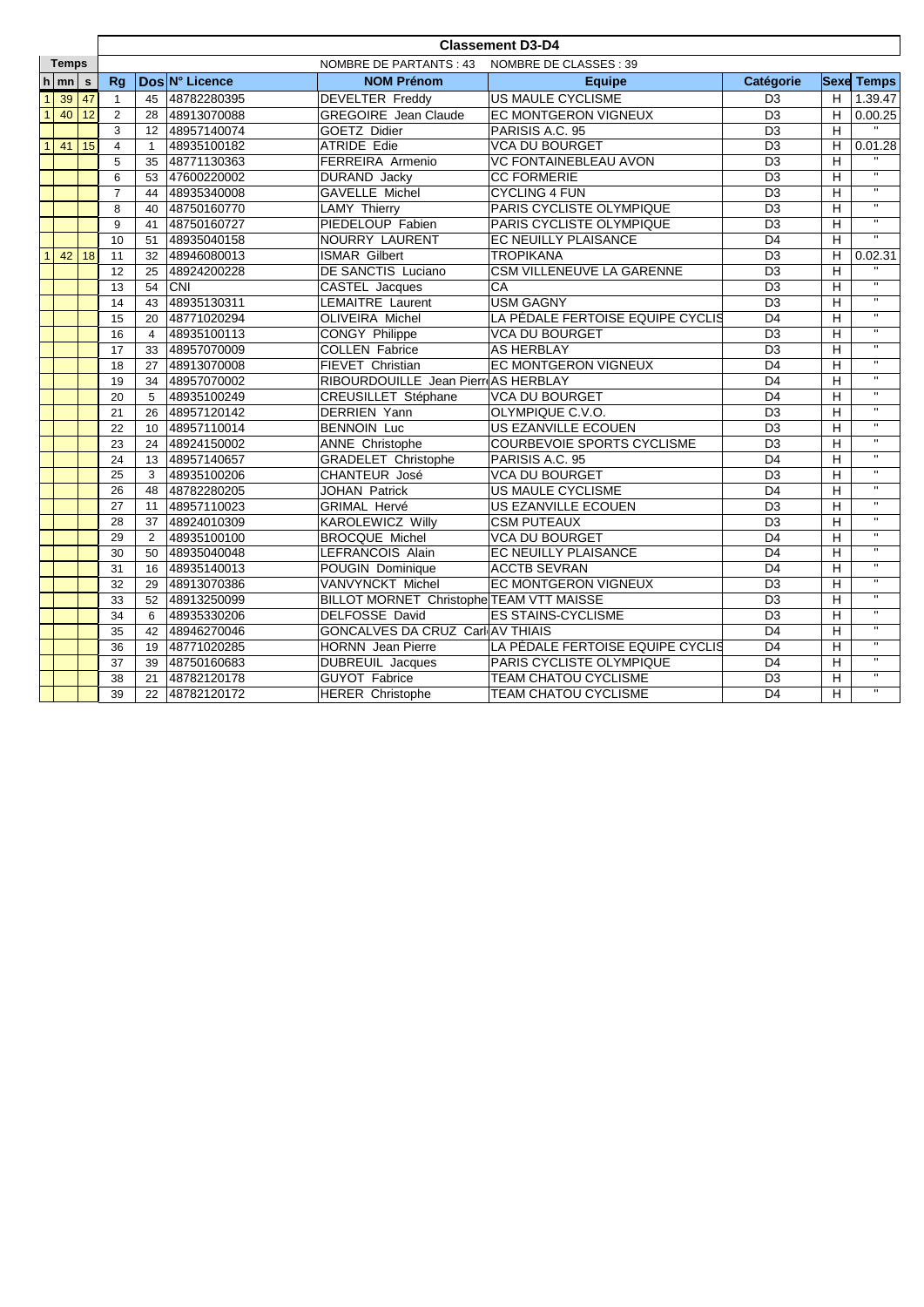|                |                    |    | <b>Classement D3-D4</b> |                                                   |                |                                                             |                                  |                 |                |                         |  |  |
|----------------|--------------------|----|-------------------------|---------------------------------------------------|----------------|-------------------------------------------------------------|----------------------------------|-----------------|----------------|-------------------------|--|--|
| <b>Temps</b>   |                    |    |                         | NOMBRE DE PARTANTS : 43<br>NOMBRE DE CLASSES : 39 |                |                                                             |                                  |                 |                |                         |  |  |
|                | $h \mid mn \mid s$ |    | Rg                      |                                                   | Dos N° Licence | <b>NOM Prénom</b>                                           | <b>Equipe</b>                    | Catégorie       |                | <b>Sexe Temps</b>       |  |  |
| $\mathbf{1}$   | 39                 | 47 | $\mathbf{1}$            | 45                                                | 48782280395    | <b>DEVELTER Freddy</b>                                      | US MAULE CYCLISME                | D <sub>3</sub>  | H              | 1.39.47                 |  |  |
| $\overline{1}$ | 40                 | 12 | 2                       | 28                                                | 48913070088    | <b>GREGOIRE</b> Jean Claude                                 | EC MONTGERON VIGNEUX             | D <sub>3</sub>  | Н              | 0.00.25                 |  |  |
|                |                    |    | 3                       | 12                                                | 48957140074    | GOETZ Didier                                                | PARISIS A.C. 95                  | D <sub>3</sub>  | H              |                         |  |  |
| $\overline{1}$ | 41                 | 15 | $\overline{4}$          | $\mathbf{1}$                                      | 48935100182    | <b>ATRIDE Edie</b>                                          | <b>VCA DU BOURGET</b>            | D <sub>3</sub>  | Н              | 0.01.28                 |  |  |
|                |                    |    | 5                       | 35                                                | 48771130363    | FERREIRA Armenio                                            | <b>VC FONTAINEBLEAU AVON</b>     | D <sub>3</sub>  | H              |                         |  |  |
|                |                    |    | 6                       | 53                                                | 47600220002    | DURAND Jacky                                                | <b>CC FORMERIE</b>               | D <sub>3</sub>  | H              |                         |  |  |
|                |                    |    | $\overline{7}$          | 44                                                | 48935340008    | GAVELLE Michel                                              | <b>CYCLING 4 FUN</b>             | D <sub>3</sub>  | H              | $\overline{u}$          |  |  |
|                |                    |    | 8                       | 40                                                | 48750160770    | <b>LAMY Thierry</b>                                         | PARIS CYCLISTE OLYMPIQUE         | D <sub>3</sub>  | H              | $\overline{\mathbf{u}}$ |  |  |
|                |                    |    | 9                       | 41                                                | 48750160727    | PIEDELOUP Fabien                                            | PARIS CYCLISTE OLYMPIQUE         | $\overline{D3}$ | H              | $\overline{u}$          |  |  |
|                |                    |    | 10                      | 51                                                | 48935040158    | NOURRY LAURENT                                              | EC NEUILLY PLAISANCE             | $\overline{D4}$ | H              | $\overline{\mathbf{u}}$ |  |  |
| $\overline{1}$ | 42                 | 18 | 11                      | 32                                                | 48946080013    | <b>ISMAR Gilbert</b>                                        | <b>TROPIKANA</b>                 | $\overline{D3}$ | H              | 0.02.31                 |  |  |
|                |                    |    | 12                      | 25                                                | 48924200228    | <b>DE SANCTIS Luciano</b>                                   | <b>CSM VILLENEUVE LA GARENNE</b> | $\overline{D3}$ | H              |                         |  |  |
|                |                    |    | 13                      | 54                                                | <b>CNI</b>     | CASTEL Jacques                                              | CA                               | D <sub>3</sub>  | H              | $\overline{\mathbf{u}}$ |  |  |
|                |                    |    | 14                      | 43                                                | 48935130311    | <b>LEMAITRE Laurent</b>                                     | <b>USM GAGNY</b>                 | D <sub>3</sub>  | H              | $\overline{u}$          |  |  |
|                |                    |    | 15                      | 20                                                | 48771020294    | OLIVEIRA Michel                                             | LA PÉDALE FERTOISE EQUIPE CYCLIS | $\overline{D4}$ | H              | $\overline{u}$          |  |  |
|                |                    |    | 16                      | $\overline{4}$                                    | 48935100113    | CONGY Philippe                                              | VCA DU BOURGET                   | D <sub>3</sub>  | H              | $\overline{u}$          |  |  |
|                |                    |    | 17                      | 33                                                | 48957070009    | <b>COLLEN Fabrice</b>                                       | <b>AS HERBLAY</b>                | D <sub>3</sub>  | H              | $\mathbf{u}$            |  |  |
|                |                    |    | 18                      | 27                                                | 48913070008    | FIEVET Christian                                            | <b>EC MONTGERON VIGNEUX</b>      | D <sub>4</sub>  | H              | $\mathbf{u}$            |  |  |
|                |                    |    | 19                      | 34                                                | 48957070002    | RIBOURDOUILLE Jean PierreAS HERBLAY                         |                                  | $\overline{D4}$ | H              | $\overline{\mathbf{u}}$ |  |  |
|                |                    |    | 20                      | 5                                                 | 48935100249    | CREUSILLET Stéphane<br><b>VCA DU BOURGET</b>                |                                  | D <sub>4</sub>  | H              | $\overline{\mathbf{u}}$ |  |  |
|                |                    |    | 21                      | 26                                                | 48957120142    | <b>DERRIEN Yann</b>                                         | OLYMPIQUE C.V.O.                 | D <sub>3</sub>  | H              | π                       |  |  |
|                |                    |    | 22                      | 10 <sup>1</sup>                                   | 48957110014    | <b>BENNOIN Luc</b><br>US EZANVILLE ECOUEN                   |                                  | D <sub>3</sub>  | H              | π                       |  |  |
|                |                    |    | 23                      | 24                                                | 48924150002    | <b>ANNE Christophe</b><br><b>COURBEVOIE SPORTS CYCLISME</b> |                                  | D <sub>3</sub>  | H              | π                       |  |  |
|                |                    |    | 24                      | 13                                                | 48957140657    | <b>GRADELET Christophe</b><br>PARISIS A.C. 95               |                                  | D <sub>4</sub>  | H              | π                       |  |  |
|                |                    |    | $\overline{25}$         | 3                                                 | 48935100206    | CHANTEUR José<br><b>VCA DU BOURGET</b>                      |                                  | D <sub>3</sub>  | H              |                         |  |  |
|                |                    |    | $\overline{26}$         | 48                                                | 48782280205    | JOHAN Patrick<br>US MAULE CYCLISME                          |                                  | $\overline{D4}$ | H              | π                       |  |  |
|                |                    |    | 27                      | 11                                                | 48957110023    | GRIMAL Hervé                                                | US EZANVILLE ECOUEN              | D <sub>3</sub>  | $\mathsf{H}$   | $\overline{u}$          |  |  |
|                |                    |    | 28                      | 37                                                | 48924010309    | <b>KAROLEWICZ Willy</b>                                     | <b>CSM PUTEAUX</b>               | $\overline{D3}$ | $\overline{H}$ | $\overline{u}$          |  |  |
|                |                    |    | 29                      | $\overline{2}$                                    | 48935100100    | <b>BROCQUE Michel</b>                                       | <b>VCA DU BOURGET</b>            | D <sub>4</sub>  | H              | $\overline{\mathbf{u}}$ |  |  |
|                |                    |    | 30                      | 50                                                | 48935040048    | LEFRANCOIS Alain                                            | EC NEUILLY PLAISANCE             | D <sub>4</sub>  | H              | $\overline{\mathbf{u}}$ |  |  |
|                |                    |    | 31                      | 16                                                | 48935140013    | POUGIN Dominique                                            | <b>ACCTB SEVRAN</b>              | D <sub>4</sub>  | H              | π                       |  |  |
|                |                    |    | 32                      | 29                                                | 48913070386    | VANVYNCKT Michel                                            | <b>EC MONTGERON VIGNEUX</b>      | D <sub>3</sub>  | H              | π                       |  |  |
|                |                    |    | 33                      | 52                                                | 48913250099    | BILLOT MORNET Christophe TEAM VTT MAISSE                    |                                  | D <sub>3</sub>  | H              | π                       |  |  |
|                |                    |    | 34                      | 6                                                 | 48935330206    | <b>ES STAINS-CYCLISME</b><br>DELFOSSE David                 |                                  | D <sub>3</sub>  | H              | π                       |  |  |
|                |                    |    | 35                      | 42                                                | 48946270046    | <b>GONCALVES DA CRUZ Carl(AV THIAIS</b>                     | D <sub>4</sub>                   | H               | π              |                         |  |  |
|                |                    |    | 36                      | 19                                                | 48771020285    | LA PÉDALE FERTOISE EQUIPE CYCLIS<br>HORNN Jean Pierre       |                                  | D4              | H              | $\overline{u}$          |  |  |
|                |                    |    | 37                      | 39                                                | 48750160683    | <b>DUBREUIL Jacques</b>                                     | PARIS CYCLISTE OLYMPIQUE         | D <sub>4</sub>  | H              | $\mathbf{H}$            |  |  |
|                |                    |    | 38                      | 21                                                | 48782120178    | <b>GUYOT Fabrice</b>                                        | <b>TEAM CHATOU CYCLISME</b>      | D <sub>3</sub>  | H              | $\overline{u}$          |  |  |
|                |                    |    | 39                      | 22                                                | 48782120172    | <b>HERER Christophe</b>                                     | <b>TEAM CHATOU CYCLISME</b>      | D <sub>4</sub>  | H              | $\mathbf{u}$            |  |  |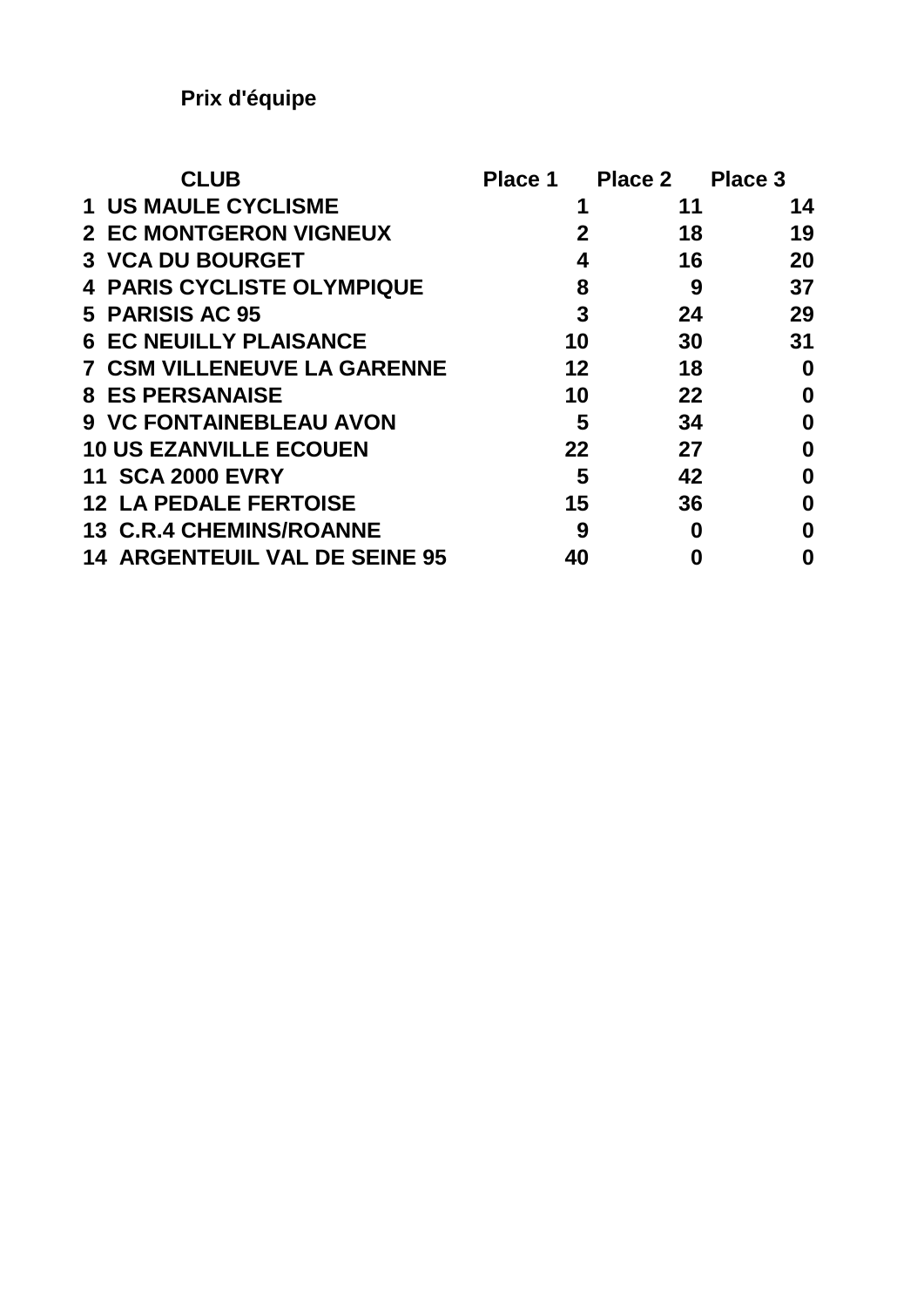| <b>CLUB</b>                             | Place 1     | <b>Place 2</b> | Place 3  |
|-----------------------------------------|-------------|----------------|----------|
| <b>1 US MAULE CYCLISME</b>              | 1           | 11             | 14       |
| <b>2 EC MONTGERON VIGNEUX</b>           | $\mathbf 2$ | 18             | 19       |
| <b>3 VCA DU BOURGET</b>                 | 4           | 16             | 20       |
| <b>4 PARIS CYCLISTE OLYMPIQUE</b>       | 8           | 9              | 37       |
| 5 PARISIS AC 95                         | 3           | 24             | 29       |
| <b>6 EC NEUILLY PLAISANCE</b>           | 10          | 30             | 31       |
| <b>7 CSM VILLENEUVE LA GARENNE</b>      | 12          | 18             | 0        |
| <b>8 ES PERSANAISE</b>                  | 10          | 22             | $\bf{0}$ |
| <b>9 VC FONTAINEBLEAU AVON</b>          | 5           | 34             | 0        |
| <b>10 US EZANVILLE ECOUEN</b>           | 22          | 27             | 0        |
| <b>11 SCA 2000 EVRY</b>                 | 5           | 42             | 0        |
| <b>LA PEDALE FERTOISE</b><br>12         | 15          | 36             | 0        |
| <b>13 C.R.4 CHEMINS/ROANNE</b>          | 9           | 0              | O        |
| <b>ARGENTEUIL VAL DE SEINE 95</b><br>14 | 40          | 0              | 0        |